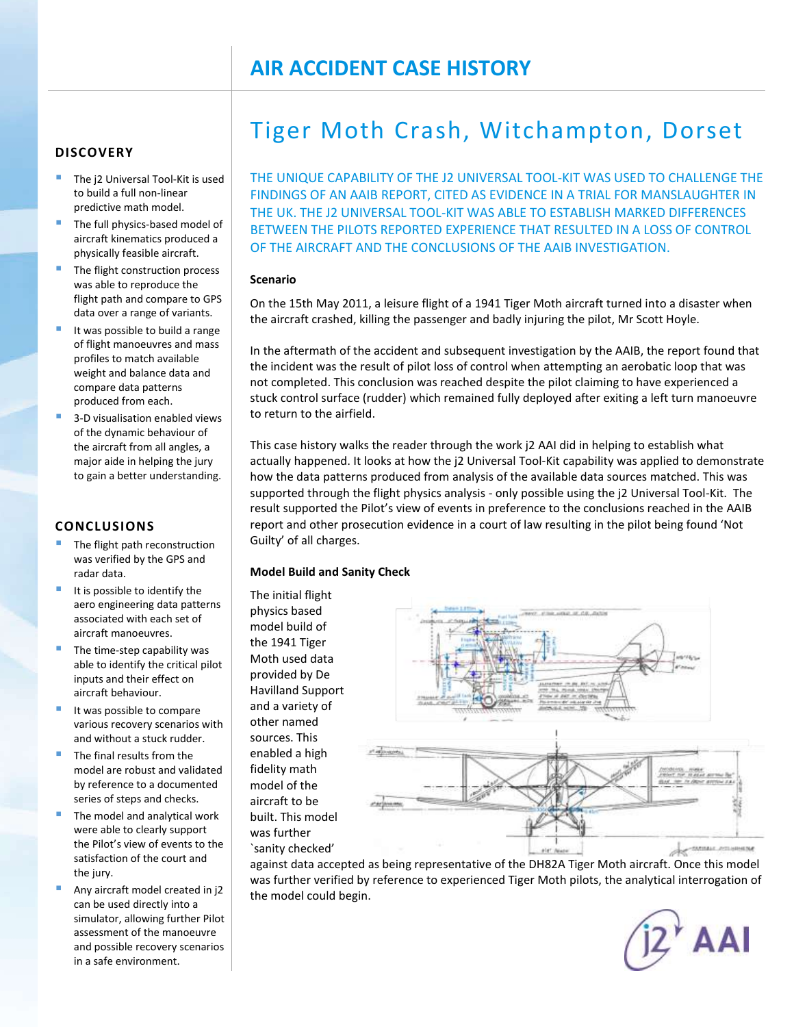# **DISCOVERY**

- The j2 Universal Tool-Kit is used to build a full non-linear predictive math model.
- The full physics-based model of aircraft kinematics produced a physically feasible aircraft.
- The flight construction process was able to reproduce the flight path and compare to GPS data over a range of variants.
- It was possible to build a range of flight manoeuvres and mass profiles to match available weight and balance data and compare data patterns produced from each.
- 3-D visualisation enabled views of the dynamic behaviour of the aircraft from all angles, a major aide in helping the jury to gain a better understanding.

## **CONCLUSIONS**

- $\blacksquare$  The flight path reconstruction was verified by the GPS and radar data.
- $\blacksquare$  It is possible to identify the aero engineering data patterns associated with each set of aircraft manoeuvres.
- The time-step capability was able to identify the critical pilot inputs and their effect on aircraft behaviour.
- It was possible to compare various recovery scenarios with and without a stuck rudder.
- The final results from the model are robust and validated by reference to a documented series of steps and checks.
- The model and analytical work were able to clearly support the Pilot's view of events to the satisfaction of the court and the jury.
- Any aircraft model created in j2 can be used directly into a simulator, allowing further Pilot assessment of the manoeuvre and possible recovery scenarios in a safe environment.

# Tiger Moth Crash, Witchampton, Dorset

THE UNIQUE CAPABILITY OF THE J2 UNIVERSAL TOOL-KIT WAS USED TO CHALLENGE THE FINDINGS OF AN AAIB REPORT, CITED AS EVIDENCE IN A TRIAL FOR MANSLAUGHTER IN THE UK. THE J2 UNIVERSAL TOOL-KIT WAS ABLE TO ESTABLISH MARKED DIFFERENCES BETWEEN THE PILOTS REPORTED EXPERIENCE THAT RESULTED IN A LOSS OF CONTROL OF THE AIRCRAFT AND THE CONCLUSIONS OF THE AAIB INVESTIGATION.

#### **Scenario**

On the 15th May 2011, a leisure flight of a 1941 Tiger Moth aircraft turned into a disaster when the aircraft crashed, killing the passenger and badly injuring the pilot, Mr Scott Hoyle.

In the aftermath of the accident and subsequent investigation by the AAIB, the report found that the incident was the result of pilot loss of control when attempting an aerobatic loop that was not completed. This conclusion was reached despite the pilot claiming to have experienced a stuck control surface (rudder) which remained fully deployed after exiting a left turn manoeuvre to return to the airfield.

This case history walks the reader through the work j2 AAI did in helping to establish what actually happened. It looks at how the j2 Universal Tool-Kit capability was applied to demonstrate how the data patterns produced from analysis of the available data sources matched. This was supported through the flight physics analysis - only possible using the j2 Universal Tool-Kit. The result supported the Pilot's view of events in preference to the conclusions reached in the AAIB report and other prosecution evidence in a court of law resulting in the pilot being found 'Not Guilty' of all charges.

## **Model Build and Sanity Check**

The initial flight physics based model build of the 1941 Tiger Moth used data provided by De Havilland Support and a variety of other named sources. This enabled a high fidelity math model of the aircraft to be built. This model was further `sanity checked'



against data accepted as being representative of the DH82A Tiger Moth aircraft. Once this model was further verified by reference to experienced Tiger Moth pilots, the analytical interrogation of the model could begin.

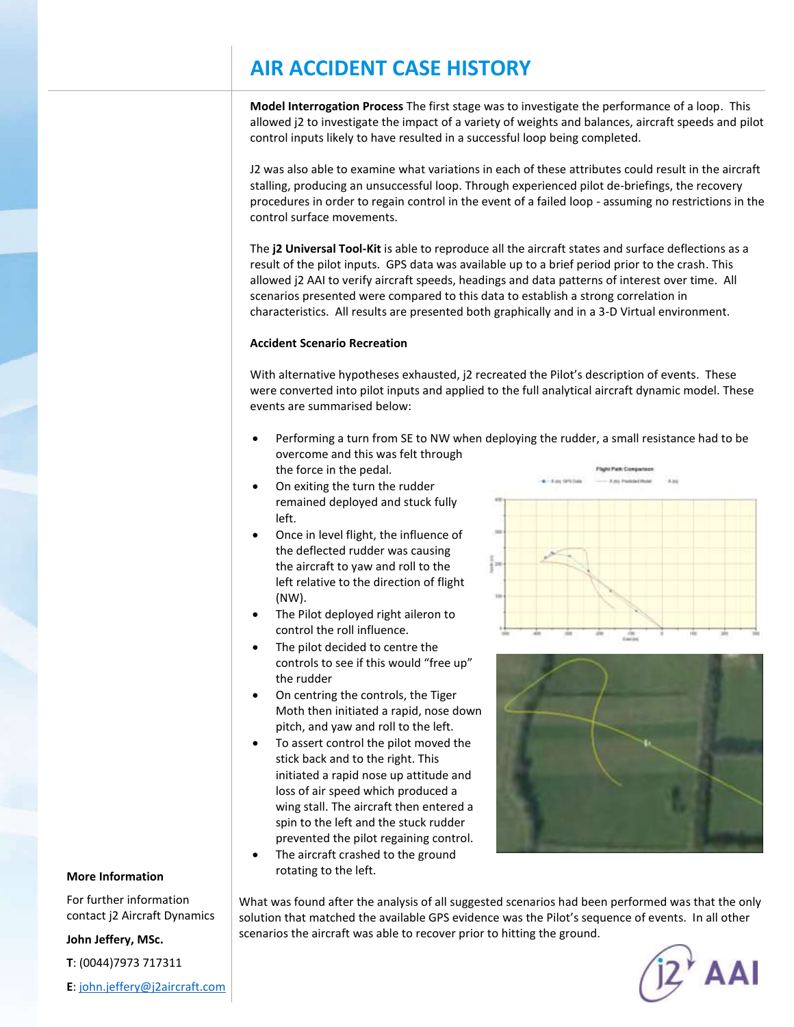# **AIR ACCIDENT CASE HISTORY**

**Model Interrogation Process** The first stage was to investigate the performance of a loop. This allowed j2 to investigate the impact of a variety of weights and balances, aircraft speeds and pilot control inputs likely to have resulted in a successful loop being completed.

J2 was also able to examine what variations in each of these attributes could result in the aircraft stalling, producing an unsuccessful loop. Through experienced pilot de-briefings, the recovery procedures in order to regain control in the event of a failed loop - assuming no restrictions in the control surface movements.

The **j2 Universal Tool-Kit** is able to reproduce all the aircraft states and surface deflections as a result of the pilot inputs. GPS data was available up to a brief period prior to the crash. This allowed j2 AAI to verify aircraft speeds, headings and data patterns of interest over time. All scenarios presented were compared to this data to establish a strong correlation in characteristics. All results are presented both graphically and in a 3-D Virtual environment.

#### **Accident Scenario Recreation**

With alternative hypotheses exhausted, j2 recreated the Pilot's description of events. These were converted into pilot inputs and applied to the full analytical aircraft dynamic model. These events are summarised below:

- Performing a turn from SE to NW when deploying the rudder, a small resistance had to be overcome and this was felt through the force in the pedal.
- On exiting the turn the rudder remained deployed and stuck fully left.
- Once in level flight, the influence of the deflected rudder was causing the aircraft to yaw and roll to the left relative to the direction of flight (NW).
- The Pilot deployed right aileron to control the roll influence.
- The pilot decided to centre the controls to see if this would "free up" the rudder
- On centring the controls, the Tiger Moth then initiated a rapid, nose down pitch, and yaw and roll to the left.
- To assert control the pilot moved the stick back and to the right. This initiated a rapid nose up attitude and loss of air speed which produced a wing stall. The aircraft then entered a spin to the left and the stuck rudder prevented the pilot regaining control.
- The aircraft crashed to the ground rotating to the left.





#### **More Information**

For further information contact j2 Aircraft Dynamics

#### **John Jeffery, MSc.**

**T**: (0044)7973 717311

**E**: [john.jeffery@j2aircraft.com](mailto:john.jeffery@j2aircraft.com)

What was found after the analysis of all suggested scenarios had been performed was that the only solution that matched the available GPS evidence was the Pilot's sequence of events. In all other scenarios the aircraft was able to recover prior to hitting the ground.